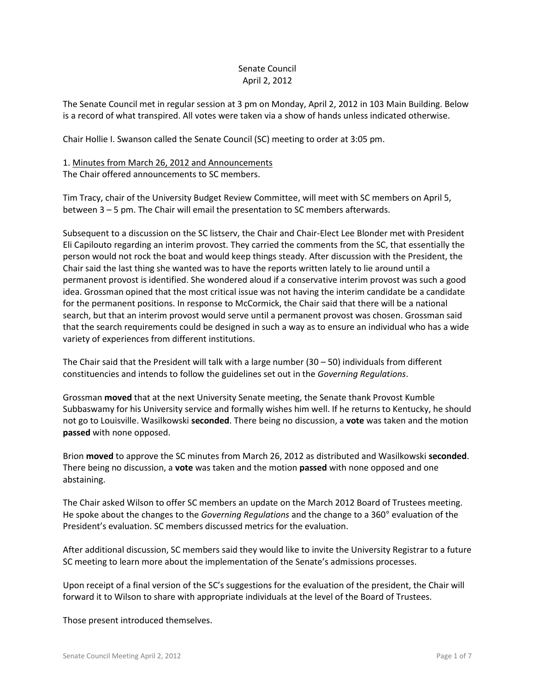## Senate Council April 2, 2012

The Senate Council met in regular session at 3 pm on Monday, April 2, 2012 in 103 Main Building. Below is a record of what transpired. All votes were taken via a show of hands unless indicated otherwise.

Chair Hollie I. Swanson called the Senate Council (SC) meeting to order at 3:05 pm.

### 1. Minutes from March 26, 2012 and Announcements The Chair offered announcements to SC members.

Tim Tracy, chair of the University Budget Review Committee, will meet with SC members on April 5, between 3 – 5 pm. The Chair will email the presentation to SC members afterwards.

Subsequent to a discussion on the SC listserv, the Chair and Chair-Elect Lee Blonder met with President Eli Capilouto regarding an interim provost. They carried the comments from the SC, that essentially the person would not rock the boat and would keep things steady. After discussion with the President, the Chair said the last thing she wanted was to have the reports written lately to lie around until a permanent provost is identified. She wondered aloud if a conservative interim provost was such a good idea. Grossman opined that the most critical issue was not having the interim candidate be a candidate for the permanent positions. In response to McCormick, the Chair said that there will be a national search, but that an interim provost would serve until a permanent provost was chosen. Grossman said that the search requirements could be designed in such a way as to ensure an individual who has a wide variety of experiences from different institutions.

The Chair said that the President will talk with a large number (30 – 50) individuals from different constituencies and intends to follow the guidelines set out in the *Governing Regulations*.

Grossman **moved** that at the next University Senate meeting, the Senate thank Provost Kumble Subbaswamy for his University service and formally wishes him well. If he returns to Kentucky, he should not go to Louisville. Wasilkowski **seconded**. There being no discussion, a **vote** was taken and the motion **passed** with none opposed.

Brion **moved** to approve the SC minutes from March 26, 2012 as distributed and Wasilkowski **seconded**. There being no discussion, a **vote** was taken and the motion **passed** with none opposed and one abstaining.

The Chair asked Wilson to offer SC members an update on the March 2012 Board of Trustees meeting. He spoke about the changes to the *Governing Regulations* and the change to a 360° evaluation of the President's evaluation. SC members discussed metrics for the evaluation.

After additional discussion, SC members said they would like to invite the University Registrar to a future SC meeting to learn more about the implementation of the Senate's admissions processes.

Upon receipt of a final version of the SC's suggestions for the evaluation of the president, the Chair will forward it to Wilson to share with appropriate individuals at the level of the Board of Trustees.

Those present introduced themselves.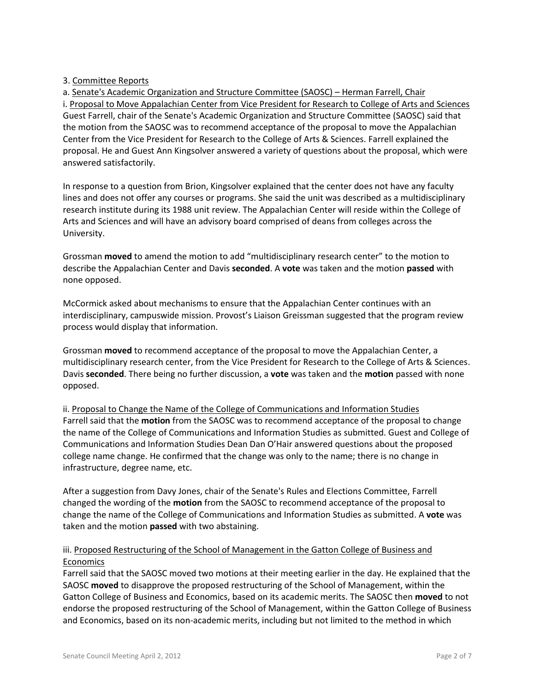## 3. Committee Reports

a. Senate's Academic Organization and Structure Committee (SAOSC) – Herman Farrell, Chair i. Proposal to Move Appalachian Center from Vice President for Research to College of Arts and Sciences Guest Farrell, chair of the Senate's Academic Organization and Structure Committee (SAOSC) said that the motion from the SAOSC was to recommend acceptance of the proposal to move the Appalachian Center from the Vice President for Research to the College of Arts & Sciences. Farrell explained the proposal. He and Guest Ann Kingsolver answered a variety of questions about the proposal, which were answered satisfactorily.

In response to a question from Brion, Kingsolver explained that the center does not have any faculty lines and does not offer any courses or programs. She said the unit was described as a multidisciplinary research institute during its 1988 unit review. The Appalachian Center will reside within the College of Arts and Sciences and will have an advisory board comprised of deans from colleges across the University.

Grossman **moved** to amend the motion to add "multidisciplinary research center" to the motion to describe the Appalachian Center and Davis **seconded**. A **vote** was taken and the motion **passed** with none opposed.

McCormick asked about mechanisms to ensure that the Appalachian Center continues with an interdisciplinary, campuswide mission. Provost's Liaison Greissman suggested that the program review process would display that information.

Grossman **moved** to recommend acceptance of the proposal to move the Appalachian Center, a multidisciplinary research center, from the Vice President for Research to the College of Arts & Sciences. Davis **seconded**. There being no further discussion, a **vote** was taken and the **motion** passed with none opposed.

ii. Proposal to Change the Name of the College of Communications and Information Studies Farrell said that the **motion** from the SAOSC was to recommend acceptance of the proposal to change the name of the College of Communications and Information Studies as submitted. Guest and College of Communications and Information Studies Dean Dan O'Hair answered questions about the proposed college name change. He confirmed that the change was only to the name; there is no change in infrastructure, degree name, etc.

After a suggestion from Davy Jones, chair of the Senate's Rules and Elections Committee, Farrell changed the wording of the **motion** from the SAOSC to recommend acceptance of the proposal to change the name of the College of Communications and Information Studies as submitted. A **vote** was taken and the motion **passed** with two abstaining.

# iii. Proposed Restructuring of the School of Management in the Gatton College of Business and Economics

Farrell said that the SAOSC moved two motions at their meeting earlier in the day. He explained that the SAOSC **moved** to disapprove the proposed restructuring of the School of Management, within the Gatton College of Business and Economics, based on its academic merits. The SAOSC then **moved** to not endorse the proposed restructuring of the School of Management, within the Gatton College of Business and Economics, based on its non-academic merits, including but not limited to the method in which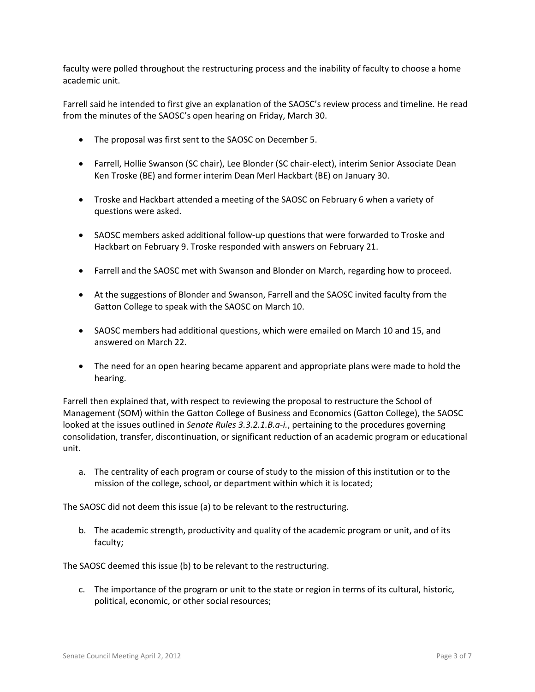faculty were polled throughout the restructuring process and the inability of faculty to choose a home academic unit.

Farrell said he intended to first give an explanation of the SAOSC's review process and timeline. He read from the minutes of the SAOSC's open hearing on Friday, March 30.

- The proposal was first sent to the SAOSC on December 5.
- Farrell, Hollie Swanson (SC chair), Lee Blonder (SC chair-elect), interim Senior Associate Dean Ken Troske (BE) and former interim Dean Merl Hackbart (BE) on January 30.
- Troske and Hackbart attended a meeting of the SAOSC on February 6 when a variety of questions were asked.
- SAOSC members asked additional follow-up questions that were forwarded to Troske and Hackbart on February 9. Troske responded with answers on February 21.
- Farrell and the SAOSC met with Swanson and Blonder on March, regarding how to proceed.
- At the suggestions of Blonder and Swanson, Farrell and the SAOSC invited faculty from the Gatton College to speak with the SAOSC on March 10.
- SAOSC members had additional questions, which were emailed on March 10 and 15, and answered on March 22.
- The need for an open hearing became apparent and appropriate plans were made to hold the hearing.

Farrell then explained that, with respect to reviewing the proposal to restructure the School of Management (SOM) within the Gatton College of Business and Economics (Gatton College), the SAOSC looked at the issues outlined in *Senate Rules 3.3.2.1.B.a-i.*, pertaining to the procedures governing consolidation, transfer, discontinuation, or significant reduction of an academic program or educational unit.

a. The centrality of each program or course of study to the mission of this institution or to the mission of the college, school, or department within which it is located;

The SAOSC did not deem this issue (a) to be relevant to the restructuring.

b. The academic strength, productivity and quality of the academic program or unit, and of its faculty;

The SAOSC deemed this issue (b) to be relevant to the restructuring.

c. The importance of the program or unit to the state or region in terms of its cultural, historic, political, economic, or other social resources;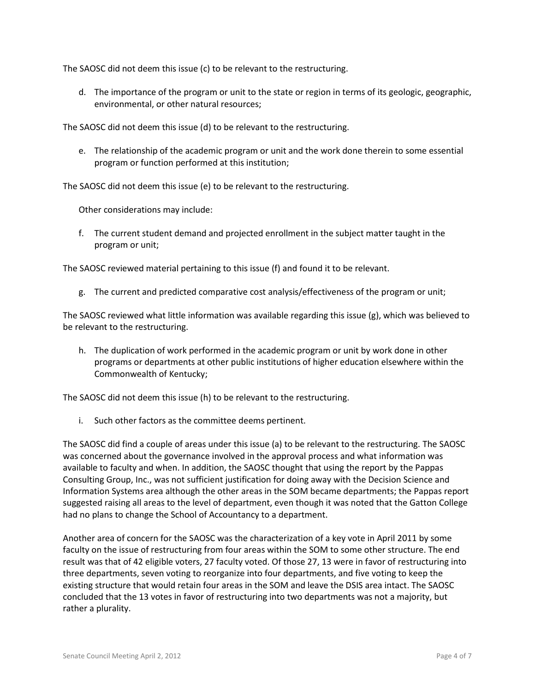The SAOSC did not deem this issue (c) to be relevant to the restructuring.

d. The importance of the program or unit to the state or region in terms of its geologic, geographic, environmental, or other natural resources;

The SAOSC did not deem this issue (d) to be relevant to the restructuring.

e. The relationship of the academic program or unit and the work done therein to some essential program or function performed at this institution;

The SAOSC did not deem this issue (e) to be relevant to the restructuring.

Other considerations may include:

f. The current student demand and projected enrollment in the subject matter taught in the program or unit;

The SAOSC reviewed material pertaining to this issue (f) and found it to be relevant.

g. The current and predicted comparative cost analysis/effectiveness of the program or unit;

The SAOSC reviewed what little information was available regarding this issue (g), which was believed to be relevant to the restructuring.

h. The duplication of work performed in the academic program or unit by work done in other programs or departments at other public institutions of higher education elsewhere within the Commonwealth of Kentucky;

The SAOSC did not deem this issue (h) to be relevant to the restructuring.

i. Such other factors as the committee deems pertinent.

The SAOSC did find a couple of areas under this issue (a) to be relevant to the restructuring. The SAOSC was concerned about the governance involved in the approval process and what information was available to faculty and when. In addition, the SAOSC thought that using the report by the Pappas Consulting Group, Inc., was not sufficient justification for doing away with the Decision Science and Information Systems area although the other areas in the SOM became departments; the Pappas report suggested raising all areas to the level of department, even though it was noted that the Gatton College had no plans to change the School of Accountancy to a department.

Another area of concern for the SAOSC was the characterization of a key vote in April 2011 by some faculty on the issue of restructuring from four areas within the SOM to some other structure. The end result was that of 42 eligible voters, 27 faculty voted. Of those 27, 13 were in favor of restructuring into three departments, seven voting to reorganize into four departments, and five voting to keep the existing structure that would retain four areas in the SOM and leave the DSIS area intact. The SAOSC concluded that the 13 votes in favor of restructuring into two departments was not a majority, but rather a plurality.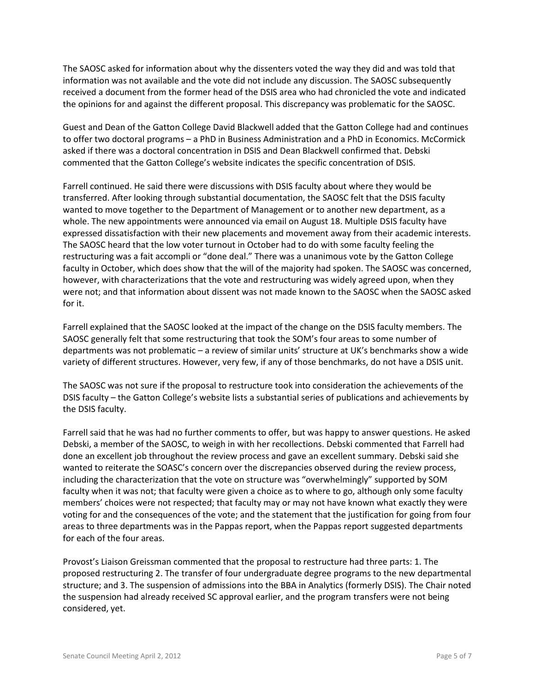The SAOSC asked for information about why the dissenters voted the way they did and was told that information was not available and the vote did not include any discussion. The SAOSC subsequently received a document from the former head of the DSIS area who had chronicled the vote and indicated the opinions for and against the different proposal. This discrepancy was problematic for the SAOSC.

Guest and Dean of the Gatton College David Blackwell added that the Gatton College had and continues to offer two doctoral programs – a PhD in Business Administration and a PhD in Economics. McCormick asked if there was a doctoral concentration in DSIS and Dean Blackwell confirmed that. Debski commented that the Gatton College's website indicates the specific concentration of DSIS.

Farrell continued. He said there were discussions with DSIS faculty about where they would be transferred. After looking through substantial documentation, the SAOSC felt that the DSIS faculty wanted to move together to the Department of Management or to another new department, as a whole. The new appointments were announced via email on August 18. Multiple DSIS faculty have expressed dissatisfaction with their new placements and movement away from their academic interests. The SAOSC heard that the low voter turnout in October had to do with some faculty feeling the restructuring was a fait accompli or "done deal." There was a unanimous vote by the Gatton College faculty in October, which does show that the will of the majority had spoken. The SAOSC was concerned, however, with characterizations that the vote and restructuring was widely agreed upon, when they were not; and that information about dissent was not made known to the SAOSC when the SAOSC asked for it.

Farrell explained that the SAOSC looked at the impact of the change on the DSIS faculty members. The SAOSC generally felt that some restructuring that took the SOM's four areas to some number of departments was not problematic – a review of similar units' structure at UK's benchmarks show a wide variety of different structures. However, very few, if any of those benchmarks, do not have a DSIS unit.

The SAOSC was not sure if the proposal to restructure took into consideration the achievements of the DSIS faculty – the Gatton College's website lists a substantial series of publications and achievements by the DSIS faculty.

Farrell said that he was had no further comments to offer, but was happy to answer questions. He asked Debski, a member of the SAOSC, to weigh in with her recollections. Debski commented that Farrell had done an excellent job throughout the review process and gave an excellent summary. Debski said she wanted to reiterate the SOASC's concern over the discrepancies observed during the review process, including the characterization that the vote on structure was "overwhelmingly" supported by SOM faculty when it was not; that faculty were given a choice as to where to go, although only some faculty members' choices were not respected; that faculty may or may not have known what exactly they were voting for and the consequences of the vote; and the statement that the justification for going from four areas to three departments was in the Pappas report, when the Pappas report suggested departments for each of the four areas.

Provost's Liaison Greissman commented that the proposal to restructure had three parts: 1. The proposed restructuring 2. The transfer of four undergraduate degree programs to the new departmental structure; and 3. The suspension of admissions into the BBA in Analytics (formerly DSIS). The Chair noted the suspension had already received SC approval earlier, and the program transfers were not being considered, yet.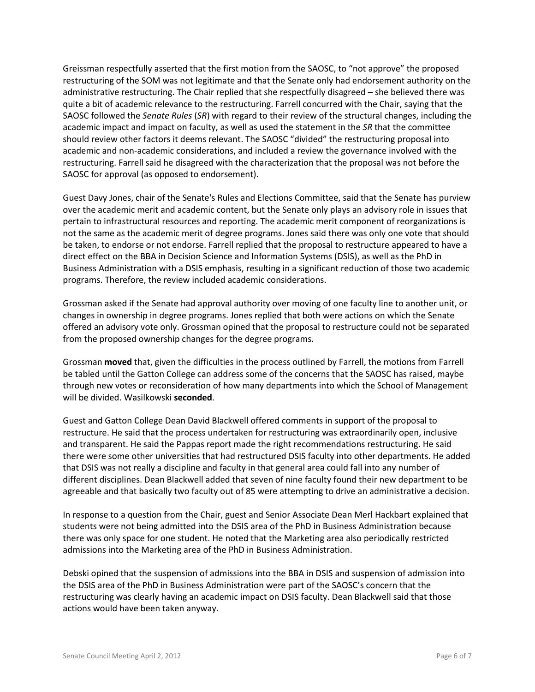Greissman respectfully asserted that the first motion from the SAOSC, to "not approve" the proposed restructuring of the SOM was not legitimate and that the Senate only had endorsement authority on the administrative restructuring. The Chair replied that she respectfully disagreed – she believed there was quite a bit of academic relevance to the restructuring. Farrell concurred with the Chair, saying that the SAOSC followed the *Senate Rules* (*SR*) with regard to their review of the structural changes, including the academic impact and impact on faculty, as well as used the statement in the *SR* that the committee should review other factors it deems relevant. The SAOSC "divided" the restructuring proposal into academic and non-academic considerations, and included a review the governance involved with the restructuring. Farrell said he disagreed with the characterization that the proposal was not before the SAOSC for approval (as opposed to endorsement).

Guest Davy Jones, chair of the Senate's Rules and Elections Committee, said that the Senate has purview over the academic merit and academic content, but the Senate only plays an advisory role in issues that pertain to infrastructural resources and reporting. The academic merit component of reorganizations is not the same as the academic merit of degree programs. Jones said there was only one vote that should be taken, to endorse or not endorse. Farrell replied that the proposal to restructure appeared to have a direct effect on the BBA in Decision Science and Information Systems (DSIS), as well as the PhD in Business Administration with a DSIS emphasis, resulting in a significant reduction of those two academic programs. Therefore, the review included academic considerations.

Grossman asked if the Senate had approval authority over moving of one faculty line to another unit, or changes in ownership in degree programs. Jones replied that both were actions on which the Senate offered an advisory vote only. Grossman opined that the proposal to restructure could not be separated from the proposed ownership changes for the degree programs.

Grossman **moved** that, given the difficulties in the process outlined by Farrell, the motions from Farrell be tabled until the Gatton College can address some of the concerns that the SAOSC has raised, maybe through new votes or reconsideration of how many departments into which the School of Management will be divided. Wasilkowski **seconded**.

Guest and Gatton College Dean David Blackwell offered comments in support of the proposal to restructure. He said that the process undertaken for restructuring was extraordinarily open, inclusive and transparent. He said the Pappas report made the right recommendations restructuring. He said there were some other universities that had restructured DSIS faculty into other departments. He added that DSIS was not really a discipline and faculty in that general area could fall into any number of different disciplines. Dean Blackwell added that seven of nine faculty found their new department to be agreeable and that basically two faculty out of 85 were attempting to drive an administrative a decision.

In response to a question from the Chair, guest and Senior Associate Dean Merl Hackbart explained that students were not being admitted into the DSIS area of the PhD in Business Administration because there was only space for one student. He noted that the Marketing area also periodically restricted admissions into the Marketing area of the PhD in Business Administration.

Debski opined that the suspension of admissions into the BBA in DSIS and suspension of admission into the DSIS area of the PhD in Business Administration were part of the SAOSC's concern that the restructuring was clearly having an academic impact on DSIS faculty. Dean Blackwell said that those actions would have been taken anyway.